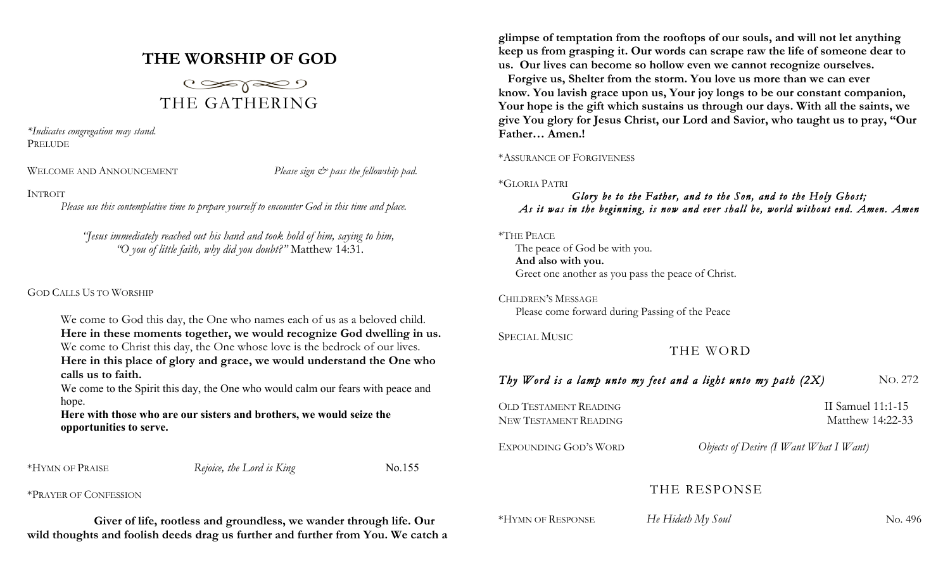# **THE WORSHIP OF GOD**



*\*Indicates congregation may stand.* PRELUDE

WELCOME AND ANNOUNCEMENT *Please sign*  $\breve{c}$  *pass the fellowship pad.* 

## INTROIT

*Please use this contemplative time to prepare yourself to encounter God in this time and place.*

*"Jesus immediately reached out his hand and took hold of him, saying to him, "O you of little faith, why did you doubt?"* Matthew 14:31.

## GOD CALLS US TO WORSHIP

We come to God this day, the One who names each of us as a beloved child. **Here in these moments together, we would recognize God dwelling in us.** We come to Christ this day, the One whose love is the bedrock of our lives. **Here in this place of glory and grace, we would understand the One who calls us to faith.**

We come to the Spirit this day, the One who would calm our fears with peace and hope.

## **Here with those who are our sisters and brothers, we would seize the opportunities to serve.**

| *HYMN OF PRAISE | Rejoice, the Lord is King | No.155 |
|-----------------|---------------------------|--------|

\*PRAYER OF CONFESSION

**Giver of life, rootless and groundless, we wander through life. Our wild thoughts and foolish deeds drag us further and further from You. We catch a** 

**glimpse of temptation from the rooftops of our souls, and will not let anything keep us from grasping it. Our words can scrape raw the life of someone dear to us. Our lives can become so hollow even we cannot recognize ourselves.**

**Forgive us, Shelter from the storm. You love us more than we can ever know. You lavish grace upon us, Your joy longs to be our constant companion, Your hope is the gift which sustains us through our days. With all the saints, we give You glory for Jesus Christ, our Lord and Savior, who taught us to pray, "Our Father… Amen.!**

### \*ASSURANCE OF FORGIVENESS

\*GLORIA PATRI

## *Glory be to the Father, and to the Son, and to the Holy Ghost; As it was in the beginning, is now and ever shall be, world without end. Amen. Amen*

\*THE PEACE

The peace of God be with you. **And also with you.** Greet one another as you pass the peace of Christ.

CHILDREN'S MESSAGE Please come forward during Passing of the Peace

SPECIAL MUSIC

THE WORD

# *Thy Word is a lamp unto my feet and a light unto my path (2X)* NO. 272

| OLD TESTAMENT READING | II Samuel 11:1-15 |
|-----------------------|-------------------|
| New Testament Reading | Matthew 14:22-33  |
|                       |                   |

EXPOUNDING GOD'S WORD *Objects of Desire (I Want What I Want)*

# THE RESPONSE

\*HYMN OF RESPONSE*He Hideth My Soul* No. 496